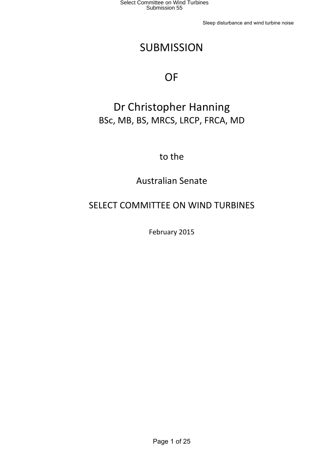Sleep disturbance and wind turbine noise

# **SUBMISSION**

# **OF**

# Dr Christopher Hanning BSc, MB, BS, MRCS, LRCP, FRCA, MD

to the

Australian Senate

# SELECT COMMITTEE ON WIND TURBINES

February 2015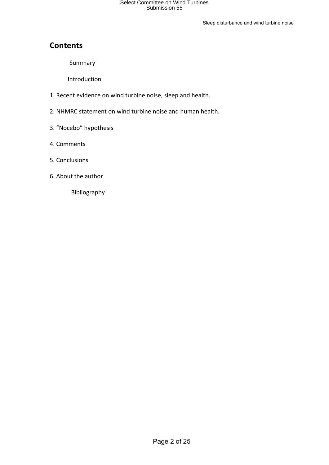Sleep disturbance and wind turbine noise

### **Contents**

Summary

 Introduction

- 1. Recent evidence on wind turbine noise, sleep and health.
- 2. NHMRC statement on wind turbine noise and human health.
- 3. "Nocebo" hypothesis
- 4. Comments
- 5. Conclusions
- 6. About the author

Bibliography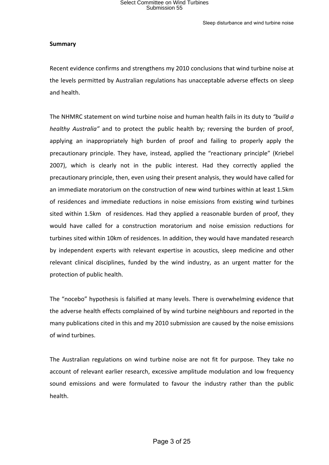### **Summary**

Recent evidence confirms and strengthens my 2010 conclusions that wind turbine noise at the levels permitted by Australian regulations has unacceptable adverse effects on sleep and health.

The NHMRC statement on wind turbine noise and human health fails in its duty to "build a *healthy Australia*" and to protect the public health by; reversing the burden of proof, applying an inappropriately high burden of proof and failing to properly apply the precautionary principle. They have, instead, applied the "reactionary principle" (Kriebel 2007), which is clearly not in the public interest. Had they correctly applied the precautionary principle, then, even using their present analysis, they would have called for an immediate moratorium on the construction of new wind turbines within at least 1.5km of residences and immediate reductions in noise emissions from existing wind turbines sited within 1.5km of residences. Had they applied a reasonable burden of proof, they would have called for a construction moratorium and noise emission reductions for turbines sited within 10km of residences. In addition, they would have mandated research by independent experts with relevant expertise in acoustics, sleep medicine and other relevant clinical disciplines, funded by the wind industry, as an urgent matter for the protection of public health.

The "nocebo" hypothesis is falsified at many levels. There is overwhelming evidence that the adverse health effects complained of by wind turbine neighbours and reported in the many publications cited in this and my 2010 submission are caused by the noise emissions of wind turbines.

The Australian regulations on wind turbine noise are not fit for purpose. They take no account of relevant earlier research, excessive amplitude modulation and low frequency sound emissions and were formulated to favour the industry rather than the public health.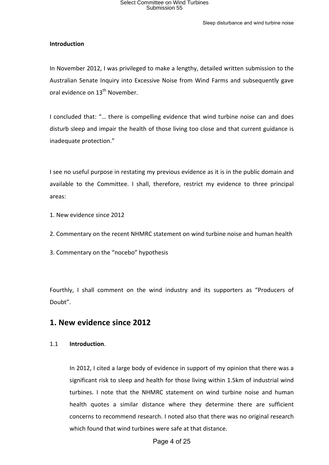Sleep disturbance and wind turbine noise

### **Introduction**

In November 2012, I was privileged to make a lengthy, detailed written submission to the Australian Senate Inquiry into Excessive Noise from Wind Farms and subsequently gave oral evidence on  $13<sup>th</sup>$  November.

I concluded that: "... there is compelling evidence that wind turbine noise can and does disturb sleep and impair the health of those living too close and that current guidance is inadequate protection."

I see no useful purpose in restating my previous evidence as it is in the public domain and available to the Committee. I shall, therefore, restrict my evidence to three principal areas: 

- 1. New evidence since 2012
- 2. Commentary on the recent NHMRC statement on wind turbine noise and human health

3. Commentary on the "nocebo" hypothesis

Fourthly, I shall comment on the wind industry and its supporters as "Producers of Doubt".

### **1. New evidence since 2012**

#### 1.1 **Introduction**.

In 2012, I cited a large body of evidence in support of my opinion that there was a significant risk to sleep and health for those living within 1.5km of industrial wind turbines. I note that the NHMRC statement on wind turbine noise and human health quotes a similar distance where they determine there are sufficient concerns to recommend research. I noted also that there was no original research which found that wind turbines were safe at that distance.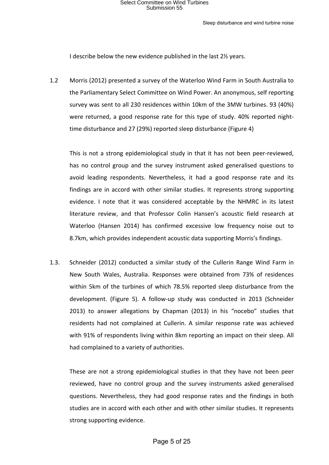#### Sleep disturbance and wind turbine noise

I describe below the new evidence published in the last 2½ years.

1.2 Morris (2012) presented a survey of the Waterloo Wind Farm in South Australia to the Parliamentary Select Committee on Wind Power. An anonymous, self reporting survey was sent to all 230 residences within 10km of the 3MW turbines. 93 (40%) were returned, a good response rate for this type of study. 40% reported nighttime disturbance and 27 (29%) reported sleep disturbance (Figure 4)

This is not a strong epidemiological study in that it has not been peer-reviewed, has no control group and the survey instrument asked generalised questions to avoid leading respondents. Nevertheless, it had a good response rate and its findings are in accord with other similar studies. It represents strong supporting evidence. I note that it was considered acceptable by the NHMRC in its latest literature review, and that Professor Colin Hansen's acoustic field research at Waterloo (Hansen 2014) has confirmed excessive low frequency noise out to 8.7km, which provides independent acoustic data supporting Morris's findings.

1.3. Schneider (2012) conducted a similar study of the Cullerin Range Wind Farm in New South Wales, Australia. Responses were obtained from 73% of residences within 5km of the turbines of which 78.5% reported sleep disturbance from the development. (Figure 5). A follow-up study was conducted in 2013 (Schneider 2013) to answer allegations by Chapman (2013) in his "nocebo" studies that residents had not complained at Cullerin. A similar response rate was achieved with 91% of respondents living within 8km reporting an impact on their sleep. All had complained to a variety of authorities.

These are not a strong epidemiological studies in that they have not been peer reviewed, have no control group and the survey instruments asked generalised questions. Nevertheless, they had good response rates and the findings in both studies are in accord with each other and with other similar studies. It represents strong supporting evidence.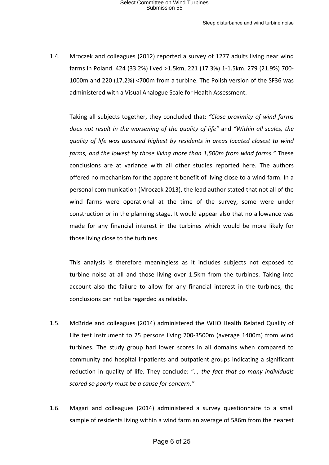1.4. Mroczek and colleagues (2012) reported a survey of 1277 adults living near wind farms in Poland. 424 (33.2%) lived >1.5km, 221 (17.3%) 1-1.5km. 279 (21.9%) 700-1000m and 220 (17.2%) <700m from a turbine. The Polish version of the SF36 was administered with a Visual Analogue Scale for Health Assessment.

Taking all subjects together, they concluded that: "Close proximity of wind farms *does not result in the worsening of the quality of life"* and "Within all scales, the *quality* of *life* was assessed highest by residents in areas located closest to wind *farms, and the lowest by those living more than 1,500m from wind farms."* These conclusions are at variance with all other studies reported here. The authors offered no mechanism for the apparent benefit of living close to a wind farm. In a personal communication (Mroczek 2013), the lead author stated that not all of the wind farms were operational at the time of the survey, some were under construction or in the planning stage. It would appear also that no allowance was made for any financial interest in the turbines which would be more likely for those living close to the turbines.

This analysis is therefore meaningless as it includes subjects not exposed to turbine noise at all and those living over 1.5km from the turbines. Taking into account also the failure to allow for any financial interest in the turbines, the conclusions can not be regarded as reliable.

- 1.5. McBride and colleagues (2014) administered the WHO Health Related Quality of Life test instrument to 25 persons living 700-3500m (average 1400m) from wind turbines. The study group had lower scores in all domains when compared to community and hospital inpatients and outpatient groups indicating a significant reduction in quality of life. They conclude: ".., the fact that so many individuals *scored so poorly must be a cause for concern."*
- 1.6. Magari and colleagues (2014) administered a survey questionnaire to a small sample of residents living within a wind farm an average of 586m from the nearest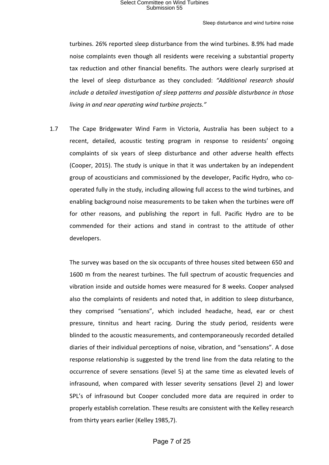turbines. 26% reported sleep disturbance from the wind turbines. 8.9% had made noise complaints even though all residents were receiving a substantial property tax reduction and other financial benefits. The authors were clearly surprised at the level of sleep disturbance as they concluded: "Additional research should *include* a detailed investigation of sleep patterns and possible disturbance in those *living in and near operating wind turbine projects."* 

1.7 The Cape Bridgewater Wind Farm in Victoria, Australia has been subject to a recent, detailed, acoustic testing program in response to residents' ongoing complaints of six years of sleep disturbance and other adverse health effects (Cooper, 2015). The study is unique in that it was undertaken by an independent group of acousticians and commissioned by the developer, Pacific Hydro, who cooperated fully in the study, including allowing full access to the wind turbines, and enabling background noise measurements to be taken when the turbines were off for other reasons, and publishing the report in full. Pacific Hydro are to be commended for their actions and stand in contrast to the attitude of other developers.

The survey was based on the six occupants of three houses sited between 650 and 1600 m from the nearest turbines. The full spectrum of acoustic frequencies and vibration inside and outside homes were measured for 8 weeks. Cooper analysed also the complaints of residents and noted that, in addition to sleep disturbance, they comprised "sensations", which included headache, head, ear or chest pressure, tinnitus and heart racing. During the study period, residents were blinded to the acoustic measurements, and contemporaneously recorded detailed diaries of their individual perceptions of noise, vibration, and "sensations". A dose response relationship is suggested by the trend line from the data relating to the occurrence of severe sensations (level 5) at the same time as elevated levels of infrasound, when compared with lesser severity sensations (level 2) and lower SPL's of infrasound but Cooper concluded more data are required in order to properly establish correlation. These results are consistent with the Kelley research from thirty years earlier (Kelley 1985,7).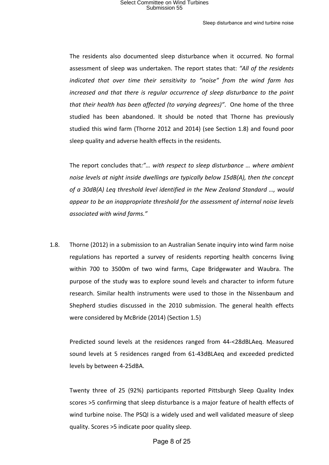The residents also documented sleep disturbance when it occurred. No formal assessment of sleep was undertaken. The report states that: "All of the residents indicated that over time their sensitivity to "noise" from the wind farm has *increased and that there is regular occurrence of sleep disturbance to the point that their health has been affected (to varying degrees)"*. One home of the three studied has been abandoned. It should be noted that Thorne has previously studied this wind farm (Thorne 2012 and 2014) (see Section 1.8) and found poor sleep quality and adverse health effects in the residents.

The report concludes that:"... with respect to sleep disturbance ... where ambient *noise levels at night inside dwellings are typically below 15dB(A), then the concept* of a 30dB(A) Leq threshold level identified in the New Zealand Standard ..., would *appear to be an inappropriate threshold for the assessment of internal noise levels associated with wind farms."*

1.8. Thorne (2012) in a submission to an Australian Senate inquiry into wind farm noise regulations has reported a survey of residents reporting health concerns living within 700 to 3500m of two wind farms, Cape Bridgewater and Waubra. The purpose of the study was to explore sound levels and character to inform future research. Similar health instruments were used to those in the Nissenbaum and Shepherd studies discussed in the 2010 submission. The general health effects were considered by McBride (2014) (Section 1.5)

Predicted sound levels at the residences ranged from 44-<28dBLAeq. Measured sound levels at 5 residences ranged from 61-43dBLAeq and exceeded predicted levels by between 4-25dBA.

Twenty three of 25 (92%) participants reported Pittsburgh Sleep Quality Index scores >5 confirming that sleep disturbance is a major feature of health effects of wind turbine noise. The PSQI is a widely used and well validated measure of sleep quality. Scores >5 indicate poor quality sleep.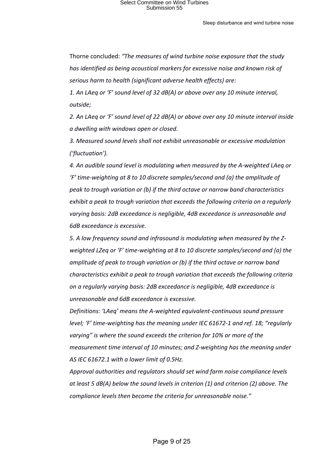Thorne concluded: "The measures of wind turbine noise exposure that the study has identified as being acoustical markers for excessive noise and known risk of serious harm to health (significant adverse health effects) are:

*1.* An LAeq or 'F' sound level of 32 dB(A) or above over any 10 minute interval, *outside;*

2. An LAeq or 'F' sound level of 22 dB(A) or above over any 10 minute interval inside *a dwelling with windows open or closed.*

*3. Measured sound levels shall not exhibit unreasonable or excessive modulation ('fluctuation').*

4. An audible sound level is modulating when measured by the A-weighted LAeq or 'F' time-weighting at 8 to 10 discrete samples/second and (a) the amplitude of *peak to trough variation or (b) if the third octave or narrow band characteristics exhibit a peak to trough variation that exceeds the following criteria on a regularly* varying basis: 2dB exceedance is negligible, 4dB exceedance is unreasonable and *6dB exceedance is excessive.*

5. A low frequency sound and infrasound is modulating when measured by the *Zweighted LZeq or 'F' time-weighting at 8 to 10 discrete samples/second and (a) the amplitude of peak to trough variation or (b) if the third octave or narrow band characteristics* exhibit a peak to trough variation that exceeds the following criteria *on a regularly varying basis: 2dB exceedance is negligible, 4dB exceedance is unreasonable and 6dB exceedance is excessive.*

*Definitions: 'LAeq' means the A-weighted equivalent-continuous sound pressure level;* 'F' time-weighting has the meaning under IEC 61672-1 and ref. 18; "regularly varying" is where the sound exceeds the criterion for 10% or more of the *measurement time interval of 10 minutes; and Z-weighting has the meaning under* AS IEC 61672.1 with a lower limit of 0.5Hz.

Approval authorities and regulators should set wind farm noise compliance levels *at least* 5 dB(A) below the sound levels in criterion (1) and criterion (2) above. The *compliance levels then become the criteria for unreasonable noise."*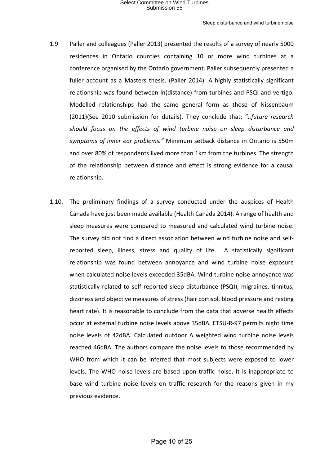- 1.9 Paller and colleagues (Paller 2013) presented the results of a survey of nearly 5000 residences in Ontario counties containing 10 or more wind turbines at a conference organised by the Ontario government. Paller subsequently presented a fuller account as a Masters thesis. (Paller 2014). A highly statistically significant relationship was found between  $ln(distance)$  from turbines and PSQI and vertigo. Modelled relationships had the same general form as those of Nissenbaum (2011)(See 2010 submission for details). They conclude that: "..future research should focus on the effects of wind turbine noise on sleep disturbance and symptoms of inner ear problems." Minimum setback distance in Ontario is 550m and over 80% of respondents lived more than 1km from the turbines. The strength of the relationship between distance and effect is strong evidence for a causal relationship.
- 1.10. The preliminary findings of a survey conducted under the auspices of Health Canada have just been made available (Health Canada 2014). A range of health and sleep measures were compared to measured and calculated wind turbine noise. The survey did not find a direct association between wind turbine noise and selfreported sleep, illness, stress and quality of life. A statistically significant relationship was found between annoyance and wind turbine noise exposure when calculated noise levels exceeded 35dBA. Wind turbine noise annoyance was statistically related to self reported sleep disturbance (PSQI), migraines, tinnitus, dizziness and objective measures of stress (hair cortisol, blood pressure and resting heart rate). It is reasonable to conclude from the data that adverse health effects occur at external turbine noise levels above 35dBA. ETSU-R-97 permits night time noise levels of 42dBA. Calculated outdoor A weighted wind turbine noise levels reached 46dBA. The authors compare the noise levels to those recommended by WHO from which it can be inferred that most subjects were exposed to lower levels. The WHO noise levels are based upon traffic noise. It is inappropriate to base wind turbine noise levels on traffic research for the reasons given in my previous evidence.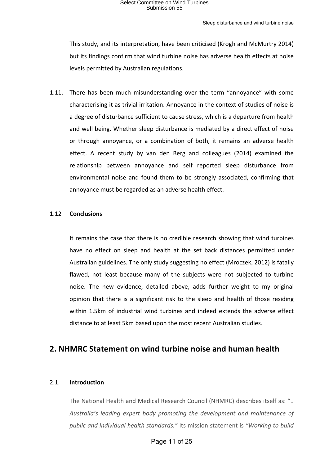#### Sleep disturbance and wind turbine noise

This study, and its interpretation, have been criticised (Krogh and McMurtry 2014) but its findings confirm that wind turbine noise has adverse health effects at noise levels permitted by Australian regulations.

1.11. There has been much misunderstanding over the term "annoyance" with some characterising it as trivial irritation. Annoyance in the context of studies of noise is a degree of disturbance sufficient to cause stress, which is a departure from health and well being. Whether sleep disturbance is mediated by a direct effect of noise or through annoyance, or a combination of both, it remains an adverse health effect. A recent study by van den Berg and colleagues (2014) examined the relationship between annoyance and self reported sleep disturbance from environmental noise and found them to be strongly associated, confirming that annoyance must be regarded as an adverse health effect.

### 1.12 **Conclusions**

It remains the case that there is no credible research showing that wind turbines have no effect on sleep and health at the set back distances permitted under Australian guidelines. The only study suggesting no effect (Mroczek, 2012) is fatally flawed, not least because many of the subjects were not subjected to turbine noise. The new evidence, detailed above, adds further weight to my original opinion that there is a significant risk to the sleep and health of those residing within 1.5km of industrial wind turbines and indeed extends the adverse effect distance to at least 5km based upon the most recent Australian studies.

### **2. NHMRC Statement on wind turbine noise and human health**

### 2.1. **Introduction**

The National Health and Medical Research Council (NHMRC) describes itself as: ".. Australia's leading expert body promoting the development and maintenance of public and individual health standards." Its mission statement is "Working to build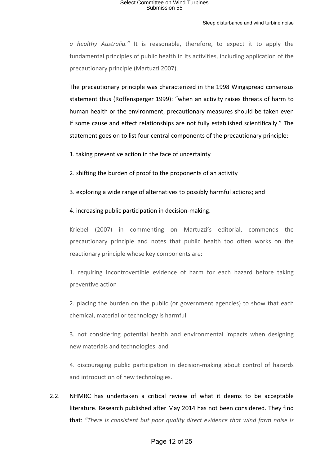#### Sleep disturbance and wind turbine noise

*a* healthy Australia." It is reasonable, therefore, to expect it to apply the fundamental principles of public health in its activities, including application of the precautionary principle (Martuzzi 2007).

The precautionary principle was characterized in the 1998 Wingspread consensus statement thus (Roffensperger 1999): "when an activity raises threats of harm to human health or the environment, precautionary measures should be taken even if some cause and effect relationships are not fully established scientifically." The statement goes on to list four central components of the precautionary principle:

1. taking preventive action in the face of uncertainty

2. shifting the burden of proof to the proponents of an activity

3. exploring a wide range of alternatives to possibly harmful actions; and

4. increasing public participation in decision-making.

Kriebel (2007) in commenting on Martuzzi's editorial, commends the precautionary principle and notes that public health too often works on the reactionary principle whose key components are:

1. requiring incontrovertible evidence of harm for each hazard before taking preventive action

2. placing the burden on the public (or government agencies) to show that each chemical, material or technology is harmful

3. not considering potential health and environmental impacts when designing new materials and technologies, and

4. discouraging public participation in decision-making about control of hazards and introduction of new technologies.

2.2. NHMRC has undertaken a critical review of what it deems to be acceptable literature. Research published after May 2014 has not been considered. They find that: "There is consistent but poor quality direct evidence that wind farm noise is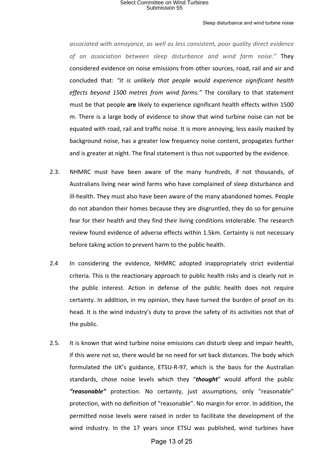#### Sleep disturbance and wind turbine noise

*associated with annoyance, as well as less consistent, poor quality direct evidence of an association between sleep disturbance and wind farm noise."* They considered evidence on noise emissions from other sources, road, rail and air and concluded that: "it is unlikely that people would experience significant health effects beyond 1500 metres from wind farms." The corollary to that statement must be that people are likely to experience significant health effects within 1500 m. There is a large body of evidence to show that wind turbine noise can not be equated with road, rail and traffic noise. It is more annoying, less easily masked by background noise, has a greater low frequency noise content, propagates further and is greater at night. The final statement is thus not supported by the evidence.

- 2.3. NHMRC must have been aware of the many hundreds, if not thousands, of Australians living near wind farms who have complained of sleep disturbance and ill-health. They must also have been aware of the many abandoned homes. People do not abandon their homes because they are disgruntled, they do so for genuine fear for their health and they find their living conditions intolerable. The research review found evidence of adverse effects within 1.5km. Certainty is not necessary before taking action to prevent harm to the public health.
- 2.4 In considering the evidence, NHMRC adopted inappropriately strict evidential criteria. This is the reactionary approach to public health risks and is clearly not in the public interest. Action in defense of the public health does not require certainty. In addition, in my opinion, they have turned the burden of proof on its head. It is the wind industry's duty to prove the safety of its activities not that of the public.
- 2.5. It is known that wind turbine noise emissions can disturb sleep and impair health, if this were not so, there would be no need for set back distances. The body which formulated the UK's guidance, ETSU-R-97, which is the basis for the Australian standards, chose noise levels which they "thought" would afford the public **"reasonable"** protection. No certainty, just assumptions, only "reasonable" protection, with no definition of "reasonable". No margin for error. In addition, the permitted noise levels were raised in order to facilitate the development of the wind industry. In the 17 years since ETSU was published, wind turbines have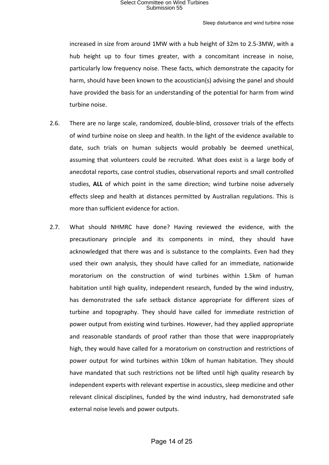increased in size from around 1MW with a hub height of 32m to 2.5-3MW, with a hub height up to four times greater, with a concomitant increase in noise, particularly low frequency noise. These facts, which demonstrate the capacity for harm, should have been known to the acoustician(s) advising the panel and should have provided the basis for an understanding of the potential for harm from wind turbine noise.

- 2.6. There are no large scale, randomized, double-blind, crossover trials of the effects of wind turbine noise on sleep and health. In the light of the evidence available to date, such trials on human subjects would probably be deemed unethical, assuming that volunteers could be recruited. What does exist is a large body of anecdotal reports, case control studies, observational reports and small controlled studies, ALL of which point in the same direction; wind turbine noise adversely effects sleep and health at distances permitted by Australian regulations. This is more than sufficient evidence for action.
- 2.7. What should NHMRC have done? Having reviewed the evidence, with the precautionary principle and its components in mind, they should have acknowledged that there was and is substance to the complaints. Even had they used their own analysis, they should have called for an immediate, nationwide moratorium on the construction of wind turbines within 1.5km of human habitation until high quality, independent research, funded by the wind industry, has demonstrated the safe setback distance appropriate for different sizes of turbine and topography. They should have called for immediate restriction of power output from existing wind turbines. However, had they applied appropriate and reasonable standards of proof rather than those that were inappropriately high, they would have called for a moratorium on construction and restrictions of power output for wind turbines within 10km of human habitation. They should have mandated that such restrictions not be lifted until high quality research by independent experts with relevant expertise in acoustics, sleep medicine and other relevant clinical disciplines, funded by the wind industry, had demonstrated safe external noise levels and power outputs.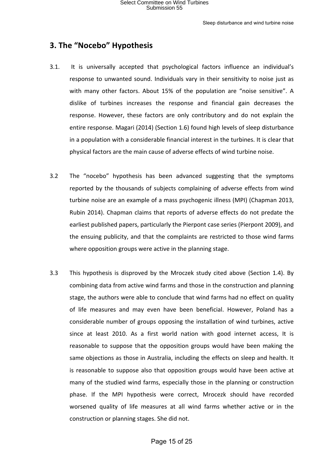### **3. The "Nocebo" Hypothesis**

- 3.1. It is universally accepted that psychological factors influence an individual's response to unwanted sound. Individuals vary in their sensitivity to noise just as with many other factors. About 15% of the population are "noise sensitive". A dislike of turbines increases the response and financial gain decreases the response. However, these factors are only contributory and do not explain the entire response. Magari (2014) (Section 1.6) found high levels of sleep disturbance in a population with a considerable financial interest in the turbines. It is clear that physical factors are the main cause of adverse effects of wind turbine noise.
- 3.2 The "nocebo" hypothesis has been advanced suggesting that the symptoms reported by the thousands of subjects complaining of adverse effects from wind turbine noise are an example of a mass psychogenic illness (MPI) (Chapman 2013, Rubin 2014). Chapman claims that reports of adverse effects do not predate the earliest published papers, particularly the Pierpont case series (Pierpont 2009), and the ensuing publicity, and that the complaints are restricted to those wind farms where opposition groups were active in the planning stage.
- 3.3 This hypothesis is disproved by the Mroczek study cited above (Section 1.4). By combining data from active wind farms and those in the construction and planning stage, the authors were able to conclude that wind farms had no effect on quality of life measures and may even have been beneficial. However, Poland has a considerable number of groups opposing the installation of wind turbines, active since at least 2010. As a first world nation with good internet access, It is reasonable to suppose that the opposition groups would have been making the same objections as those in Australia, including the effects on sleep and health. It is reasonable to suppose also that opposition groups would have been active at many of the studied wind farms, especially those in the planning or construction phase. If the MPI hypothesis were correct, Mrocezk should have recorded worsened quality of life measures at all wind farms whether active or in the construction or planning stages. She did not.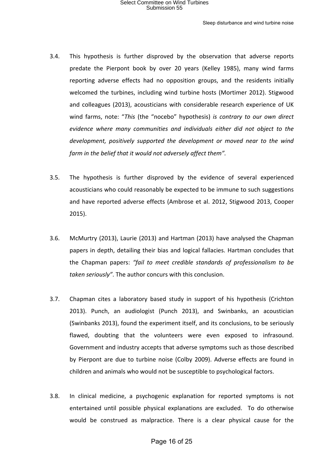- 3.4. This hypothesis is further disproved by the observation that adverse reports predate the Pierpont book by over 20 years (Kelley 1985), many wind farms reporting adverse effects had no opposition groups, and the residents initially welcomed the turbines, including wind turbine hosts (Mortimer 2012). Stigwood and colleagues (2013), acousticians with considerable research experience of UK wind farms, note: "This (the "nocebo" hypothesis) *is contrary to our own direct* evidence where many communities and individuals either did not object to the *development, positively supported the development or moved near to the wind farm* in the belief that it would not adversely affect them".
- 3.5. The hypothesis is further disproved by the evidence of several experienced acousticians who could reasonably be expected to be immune to such suggestions and have reported adverse effects (Ambrose et al. 2012, Stigwood 2013, Cooper 2015).
- 3.6. McMurtry (2013), Laurie (2013) and Hartman (2013) have analysed the Chapman papers in depth, detailing their bias and logical fallacies. Hartman concludes that the Chapman papers: "fail to meet credible standards of professionalism to be taken seriously". The author concurs with this conclusion.
- 3.7. Chapman cites a laboratory based study in support of his hypothesis (Crichton 2013). Punch, an audiologist (Punch 2013), and Swinbanks, an acoustician (Swinbanks 2013), found the experiment itself, and its conclusions, to be seriously flawed, doubting that the volunteers were even exposed to infrasound. Government and industry accepts that adverse symptoms such as those described by Pierpont are due to turbine noise (Colby 2009). Adverse effects are found in children and animals who would not be susceptible to psychological factors.
- 3.8. In clinical medicine, a psychogenic explanation for reported symptoms is not entertained until possible physical explanations are excluded. To do otherwise would be construed as malpractice. There is a clear physical cause for the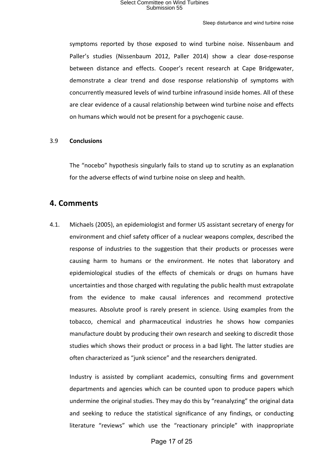symptoms reported by those exposed to wind turbine noise. Nissenbaum and Paller's studies (Nissenbaum 2012, Paller 2014) show a clear dose-response between distance and effects. Cooper's recent research at Cape Bridgewater, demonstrate a clear trend and dose response relationship of symptoms with concurrently measured levels of wind turbine infrasound inside homes. All of these are clear evidence of a causal relationship between wind turbine noise and effects on humans which would not be present for a psychogenic cause.

### 3.9 **Conclusions**

The "nocebo" hypothesis singularly fails to stand up to scrutiny as an explanation for the adverse effects of wind turbine noise on sleep and health.

### **4. Comments**

4.1. Michaels (2005), an epidemiologist and former US assistant secretary of energy for environment and chief safety officer of a nuclear weapons complex, described the response of industries to the suggestion that their products or processes were causing harm to humans or the environment. He notes that laboratory and epidemiological studies of the effects of chemicals or drugs on humans have uncertainties and those charged with regulating the public health must extrapolate from the evidence to make causal inferences and recommend protective measures. Absolute proof is rarely present in science. Using examples from the tobacco, chemical and pharmaceutical industries he shows how companies manufacture doubt by producing their own research and seeking to discredit those studies which shows their product or process in a bad light. The latter studies are often characterized as "junk science" and the researchers denigrated.

Industry is assisted by compliant academics, consulting firms and government departments and agencies which can be counted upon to produce papers which undermine the original studies. They may do this by "reanalyzing" the original data and seeking to reduce the statistical significance of any findings, or conducting literature "reviews" which use the "reactionary principle" with inappropriate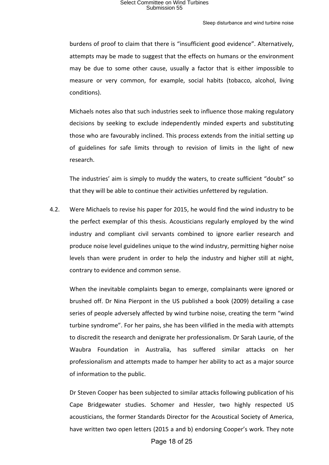burdens of proof to claim that there is "insufficient good evidence". Alternatively, attempts may be made to suggest that the effects on humans or the environment may be due to some other cause, usually a factor that is either impossible to measure or very common, for example, social habits (tobacco, alcohol, living conditions).

Michaels notes also that such industries seek to influence those making regulatory decisions by seeking to exclude independently minded experts and substituting those who are favourably inclined. This process extends from the initial setting up of guidelines for safe limits through to revision of limits in the light of new research.

The industries' aim is simply to muddy the waters, to create sufficient "doubt" so that they will be able to continue their activities unfettered by regulation.

4.2. Were Michaels to revise his paper for 2015, he would find the wind industry to be the perfect exemplar of this thesis. Acousticians regularly employed by the wind industry and compliant civil servants combined to ignore earlier research and produce noise level guidelines unique to the wind industry, permitting higher noise levels than were prudent in order to help the industry and higher still at night, contrary to evidence and common sense.

When the inevitable complaints began to emerge, complainants were ignored or brushed off. Dr Nina Pierpont in the US published a book (2009) detailing a case series of people adversely affected by wind turbine noise, creating the term "wind turbine syndrome". For her pains, she has been vilified in the media with attempts to discredit the research and denigrate her professionalism. Dr Sarah Laurie, of the Waubra Foundation in Australia, has suffered similar attacks on her professionalism and attempts made to hamper her ability to act as a major source of information to the public.

Dr Steven Cooper has been subjected to similar attacks following publication of his Cape Bridgewater studies. Schomer and Hessler, two highly respected US acousticians, the former Standards Director for the Acoustical Society of America, have written two open letters (2015 a and b) endorsing Cooper's work. They note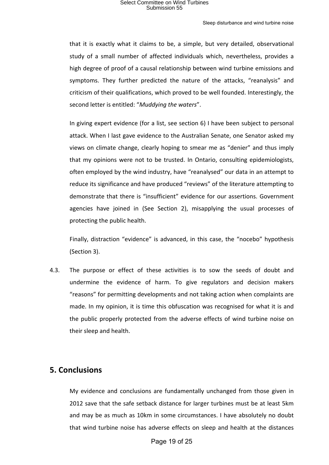that it is exactly what it claims to be, a simple, but very detailed, observational study of a small number of affected individuals which, nevertheless, provides a high degree of proof of a causal relationship between wind turbine emissions and symptoms. They further predicted the nature of the attacks, "reanalysis" and criticism of their qualifications, which proved to be well founded. Interestingly, the second letter is entitled: "Muddying the waters".

In giving expert evidence (for a list, see section  $6$ ) I have been subject to personal attack. When I last gave evidence to the Australian Senate, one Senator asked my views on climate change, clearly hoping to smear me as "denier" and thus imply that my opinions were not to be trusted. In Ontario, consulting epidemiologists, often employed by the wind industry, have "reanalysed" our data in an attempt to reduce its significance and have produced "reviews" of the literature attempting to demonstrate that there is "insufficient" evidence for our assertions. Government agencies have joined in (See Section 2), misapplying the usual processes of protecting the public health.

Finally, distraction "evidence" is advanced, in this case, the "nocebo" hypothesis (Section 3).

4.3. The purpose or effect of these activities is to sow the seeds of doubt and undermine the evidence of harm. To give regulators and decision makers "reasons" for permitting developments and not taking action when complaints are made. In my opinion, it is time this obfuscation was recognised for what it is and the public properly protected from the adverse effects of wind turbine noise on their sleep and health.

### **5. Conclusions**

My evidence and conclusions are fundamentally unchanged from those given in 2012 save that the safe setback distance for larger turbines must be at least 5km and may be as much as 10km in some circumstances. I have absolutely no doubt that wind turbine noise has adverse effects on sleep and health at the distances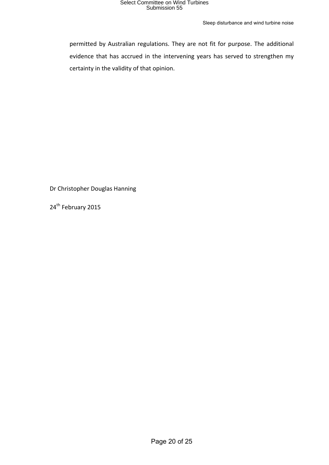Sleep disturbance and wind turbine noise

permitted by Australian regulations. They are not fit for purpose. The additional evidence that has accrued in the intervening years has served to strengthen my certainty in the validity of that opinion.

Dr Christopher Douglas Hanning

24<sup>th</sup> February 2015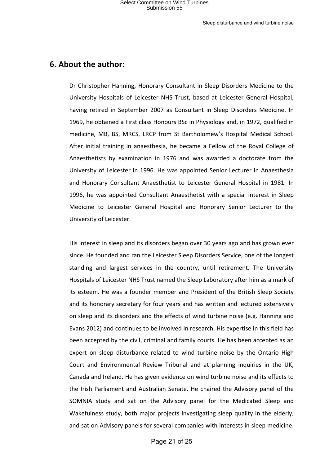### **6. About the author:**

Dr Christopher Hanning, Honorary Consultant in Sleep Disorders Medicine to the University Hospitals of Leicester NHS Trust, based at Leicester General Hospital, having retired in September 2007 as Consultant in Sleep Disorders Medicine. In 1969, he obtained a First class Honours BSc in Physiology and, in 1972, qualified in medicine, MB, BS, MRCS, LRCP from St Bartholomew's Hospital Medical School. After initial training in anaesthesia, he became a Fellow of the Royal College of Anaesthetists by examination in 1976 and was awarded a doctorate from the University of Leicester in 1996. He was appointed Senior Lecturer in Anaesthesia and Honorary Consultant Anaesthetist to Leicester General Hospital in 1981. In 1996, he was appointed Consultant Anaesthetist with a special interest in Sleep Medicine to Leicester General Hospital and Honorary Senior Lecturer to the University of Leicester.

His interest in sleep and its disorders began over 30 years ago and has grown ever since. He founded and ran the Leicester Sleep Disorders Service, one of the longest standing and largest services in the country, until retirement. The University Hospitals of Leicester NHS Trust named the Sleep Laboratory after him as a mark of its esteem. He was a founder member and President of the British Sleep Society and its honorary secretary for four years and has written and lectured extensively on sleep and its disorders and the effects of wind turbine noise (e.g. Hanning and Evans 2012) and continues to be involved in research. His expertise in this field has been accepted by the civil, criminal and family courts. He has been accepted as an expert on sleep disturbance related to wind turbine noise by the Ontario High Court and Environmental Review Tribunal and at planning inquiries in the UK, Canada and Ireland. He has given evidence on wind turbine noise and its effects to the Irish Parliament and Australian Senate. He chaired the Advisory panel of the SOMNIA study and sat on the Advisory panel for the Medicated Sleep and Wakefulness study, both major projects investigating sleep quality in the elderly, and sat on Advisory panels for several companies with interests in sleep medicine.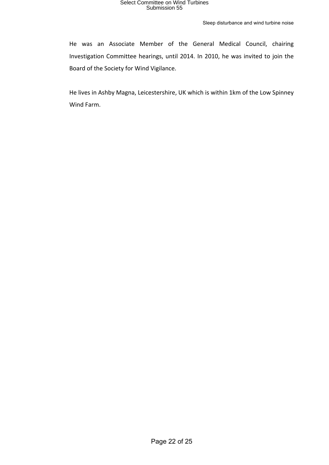He was an Associate Member of the General Medical Council, chairing Investigation Committee hearings, until 2014. In 2010, he was invited to join the Board of the Society for Wind Vigilance.

He lives in Ashby Magna, Leicestershire, UK which is within 1km of the Low Spinney Wind Farm.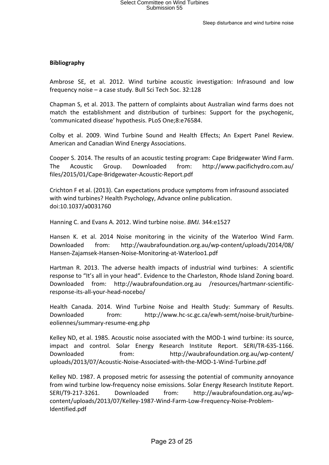### **Bibliography**

Ambrose SE, et al. 2012. Wind turbine acoustic investigation: Infrasound and low frequency noise  $-$  a case study. Bull Sci Tech Soc. 32:128

Chapman S, et al. 2013. The pattern of complaints about Australian wind farms does not match the establishment and distribution of turbines: Support for the psychogenic, ′communicated disease′ hypothesis. PLoS One;8:e76584.

Colby et al. 2009. Wind Turbine Sound and Health Effects; An Expert Panel Review. American and Canadian Wind Energy Associations.

Cooper S. 2014. The results of an acoustic testing program: Cape Bridgewater Wind Farm. The Acoustic Group. Downloaded from: http://www.pacifichydro.com.au/ files/2015/01/Cape-Bridgewater-Acoustic-Report.pdf

Crichton F et al. (2013). Can expectations produce symptoms from infrasound associated with wind turbines? Health Psychology, Advance online publication. doi:10.1037/a0031760 

Hanning C. and Evans A. 2012. Wind turbine noise. *BMJ.* 344:e1527

Hansen K. et al. 2014 Noise monitoring in the vicinity of the Waterloo Wind Farm. Downloaded from: http://waubrafoundation.org.au/wp-content/uploads/2014/08/ Hansen-Zajamsek-Hansen-Noise-Monitoring-at-Waterloo1.pdf

Hartman R. 2013. The adverse health impacts of industrial wind turbines: A scientific response to "It's all in your head". Evidence to the Charleston, Rhode Island Zoning board. Downloaded from: http://waubrafoundation.org.au /resources/hartmanr-scientificresponse-its-all-your-head-nocebo/

Health Canada. 2014. Wind Turbine Noise and Health Study: Summary of Results. Downloaded from: http://www.hc-sc.gc.ca/ewh-semt/noise-bruit/turbineeoliennes/summary-resume-eng.php

Kelley ND, et al. 1985. Acoustic noise associated with the MOD-1 wind turbine: its source, impact and control. Solar Energy Research Institute Report. SERI/TR-635-1166. Downloaded from: http://waubrafoundation.org.au/wp-content/ uploads/2013/07/Acoustic-Noise-Associated-with-the-MOD-1-Wind-Turbine.pdf

Kelley ND. 1987. A proposed metric for assessing the potential of community annoyance from wind turbine low-frequency noise emissions. Solar Energy Research Institute Report. SERI/T9-217-3261. Downloaded from: http://waubrafoundation.org.au/wpcontent/uploads/2013/07/Kelley-1987-Wind-Farm-Low-Frequency-Noise-Problem-Identified.pdf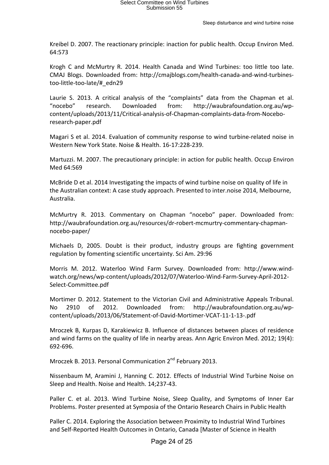Kreibel D. 2007. The reactionary principle: inaction for public health. Occup Environ Med. 64:573

Krogh C and McMurtry R. 2014. Health Canada and Wind Turbines: too little too late. CMAJ Blogs. Downloaded from: http://cmajblogs.com/health-canada-and-wind-turbinestoo-little-too-late/#\_edn29

Laurie S. 2013. A critical analysis of the "complaints" data from the Chapman et al. "nocebo" research. Downloaded from: http://waubrafoundation.org.au/wpcontent/uploads/2013/11/Critical-analysis-of-Chapman-complaints-data-from-Noceboresearch-paper.pdf

Magari S et al. 2014. Evaluation of community response to wind turbine-related noise in Western New York State. Noise & Health. 16-17:228-239.

Martuzzi. M. 2007. The precautionary principle: in action for public health. Occup Environ Med 64:569

McBride D et al. 2014 Investigating the impacts of wind turbine noise on quality of life in the Australian context: A case study approach. Presented to inter.noise 2014, Melbourne, Australia.

McMurtry R. 2013. Commentary on Chapman "nocebo" paper. Downloaded from: http://waubrafoundation.org.au/resources/dr-robert-mcmurtry-commentary-chapmannocebo-paper/

Michaels D, 2005. Doubt is their product, industry groups are fighting government regulation by fomenting scientific uncertainty. Sci Am. 29:96

Morris M. 2012. Waterloo Wind Farm Survey. Downloaded from: http://www.windwatch.org/news/wp-content/uploads/2012/07/Waterloo-Wind-Farm-Survey-April-2012- Select-Committee.pdf

Mortimer D. 2012. Statement to the Victorian Civil and Administrative Appeals Tribunal. No 2910 of 2012. Downloaded from: http://waubrafoundation.org.au/wpcontent/uploads/2013/06/Statement-of-David-Mortimer-VCAT-11-1-13-.pdf

Mroczek B, Kurpas D, Karakiewicz B. Influence of distances between places of residence and wind farms on the quality of life in nearby areas. Ann Agric Environ Med. 2012; 19(4): 692-696.

Mroczek B. 2013. Personal Communication 2<sup>nd</sup> February 2013.

Nissenbaum M, Aramini J, Hanning C. 2012. Effects of Industrial Wind Turbine Noise on Sleep and Health. Noise and Health. 14;237-43.

Paller C. et al. 2013. Wind Turbine Noise, Sleep Quality, and Symptoms of Inner Ear Problems. Poster presented at Symposia of the Ontario Research Chairs in Public Health

Paller C. 2014. Exploring the Association between Proximity to Industrial Wind Turbines and Self-Reported Health Outcomes in Ontario, Canada [Master of Science in Health